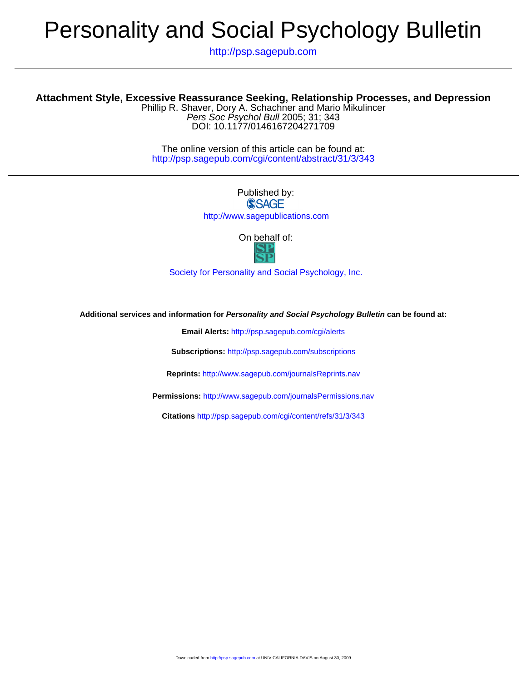# Personality and Social Psychology Bulletin

http://psp.sagepub.com

### **Attachment Style, Excessive Reassurance Seeking, Relationship Processes, and Depression**

DOI: 10.1177/0146167204271709 Pers Soc Psychol Bull 2005; 31; 343 Phillip R. Shaver, Dory A. Schachner and Mario Mikulincer

http://psp.sagepub.com/cgi/content/abstract/31/3/343 The online version of this article can be found at:

## Published by: **SSAGE**

http://www.sagepublications.com

On behalf of:



[Society for Personality and Social Psychology, Inc.](http://www.spsp.org/)

**Additional services and information for Personality and Social Psychology Bulletin can be found at:**

**Email Alerts:** <http://psp.sagepub.com/cgi/alerts>

**Subscriptions:** <http://psp.sagepub.com/subscriptions>

**Reprints:** <http://www.sagepub.com/journalsReprints.nav>

**Permissions:** <http://www.sagepub.com/journalsPermissions.nav>

**Citations** <http://psp.sagepub.com/cgi/content/refs/31/3/343>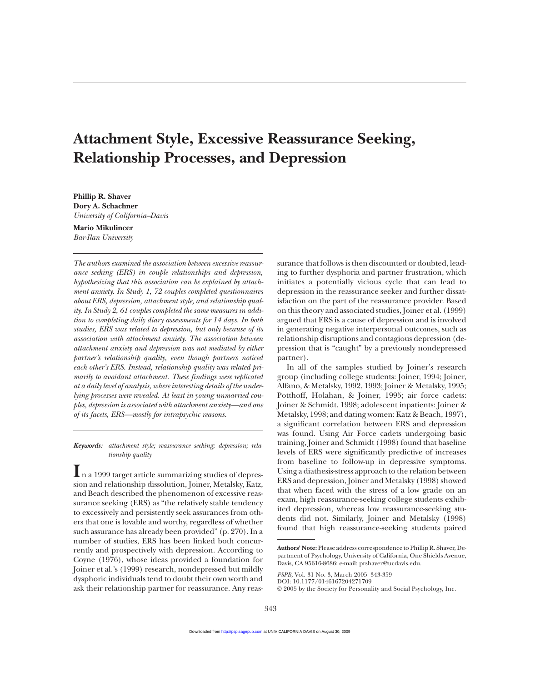# **Attachment Style, Excessive Reassurance Seeking, Relationship Processes, and Depression**

**Phillip R. Shaver Dory A. Schachner** *University of California–Davis*

**Mario Mikulincer** *Bar-Ilan University*

*The authors examined the association between excessive reassurance seeking (ERS) in couple relationships and depression, hypothesizing that this association can be explained by attachment anxiety. In Study 1, 72 couples completed questionnaires about ERS, depression, attachment style, and relationship quality. In Study 2, 61 couples completed the same measures in addition to completing daily diary assessments for 14 days. In both studies, ERS was related to depression, but only because of its association with attachment anxiety. The association between attachment anxiety and depression was not mediated by either partner's relationship quality, even though partners noticed each other's ERS. Instead, relationship quality was related primarily to avoidant attachment. These findings were replicated at a daily level of analysis, where interesting details of the underlying processes were revealed. At least in young unmarried couples, depression is associated with attachment anxiety—and one of its facets, ERS—mostly for intrapsychic reasons.*

*Keywords: attachment style; reassurance seeking; depression; relationship quality*

**I**n a 1999 target article summarizing studies of depression and relationship dissolution, Joiner, Metalsky, Katz, and Beach described the phenomenon of excessive reassurance seeking (ERS) as "the relatively stable tendency to excessively and persistently seek assurances from others that one is lovable and worthy, regardless of whether such assurance has already been provided" (p. 270). In a number of studies, ERS has been linked both concurrently and prospectively with depression. According to Coyne (1976), whose ideas provided a foundation for Joiner et al.'s (1999) research, nondepressed but mildly dysphoric individuals tend to doubt their own worth and ask their relationship partner for reassurance. Any reassurance that follows is then discounted or doubted, leading to further dysphoria and partner frustration, which initiates a potentially vicious cycle that can lead to depression in the reassurance seeker and further dissatisfaction on the part of the reassurance provider. Based on this theory and associated studies, Joiner et al. (1999) argued that ERS is a cause of depression and is involved in generating negative interpersonal outcomes, such as relationship disruptions and contagious depression (depression that is "caught" by a previously nondepressed partner).

In all of the samples studied by Joiner's research group (including college students: Joiner, 1994; Joiner, Alfano, & Metalsky, 1992, 1993; Joiner & Metalsky, 1995; Potthoff, Holahan, & Joiner, 1995; air force cadets: Joiner & Schmidt, 1998; adolescent inpatients: Joiner & Metalsky, 1998; and dating women: Katz & Beach, 1997), a significant correlation between ERS and depression was found. Using Air Force cadets undergoing basic training, Joiner and Schmidt (1998) found that baseline levels of ERS were significantly predictive of increases from baseline to follow-up in depressive symptoms. Using a diathesis-stress approach to the relation between ERS and depression, Joiner and Metalsky (1998) showed that when faced with the stress of a low grade on an exam, high reassurance-seeking college students exhibited depression, whereas low reassurance-seeking students did not. Similarly, Joiner and Metalsky (1998) found that high reassurance-seeking students paired

**Authors' Note:** Please address correspondence to Phillip R. Shaver, Department of Psychology, University of California, One Shields Avenue, Davis, CA 95616-8686; e-mail: prshaver@ucdavis.edu.

*PSPB,* Vol. 31 No. 3, March 2005 343-359

DOI: 10.1177/0146167204271709

<sup>© 2005</sup> by the Society for Personality and Social Psychology, Inc.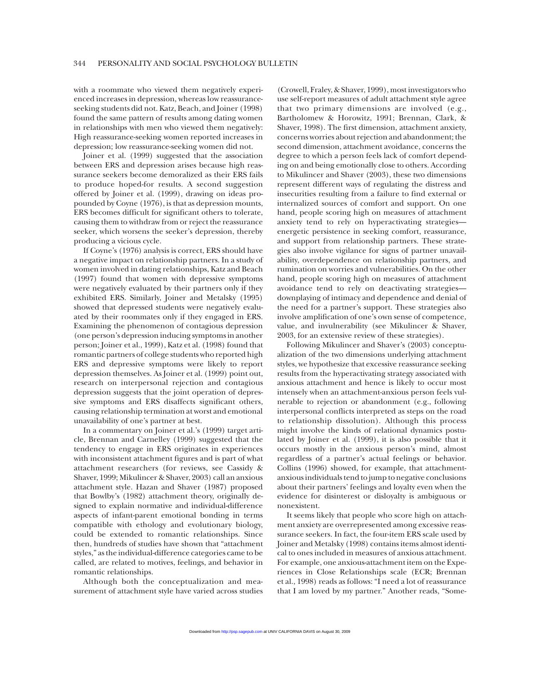with a roommate who viewed them negatively experienced increases in depression, whereas low reassuranceseeking students did not. Katz, Beach, and Joiner (1998) found the same pattern of results among dating women in relationships with men who viewed them negatively: High reassurance-seeking women reported increases in depression; low reassurance-seeking women did not.

Joiner et al. (1999) suggested that the association between ERS and depression arises because high reassurance seekers become demoralized as their ERS fails to produce hoped-for results. A second suggestion offered by Joiner et al. (1999), drawing on ideas propounded by Coyne (1976), is that as depression mounts, ERS becomes difficult for significant others to tolerate, causing them to withdraw from or reject the reassurance seeker, which worsens the seeker's depression, thereby producing a vicious cycle.

If Coyne's (1976) analysis is correct, ERS should have a negative impact on relationship partners. In a study of women involved in dating relationships, Katz and Beach (1997) found that women with depressive symptoms were negatively evaluated by their partners only if they exhibited ERS. Similarly, Joiner and Metalsky (1995) showed that depressed students were negatively evaluated by their roommates only if they engaged in ERS. Examining the phenomenon of contagious depression (one person's depression inducing symptoms in another person; Joiner et al., 1999), Katz et al. (1998) found that romantic partners of college students who reported high ERS and depressive symptoms were likely to report depression themselves. As Joiner et al. (1999) point out, research on interpersonal rejection and contagious depression suggests that the joint operation of depressive symptoms and ERS disaffects significant others, causing relationship termination at worst and emotional unavailability of one's partner at best.

In a commentary on Joiner et al.'s (1999) target article, Brennan and Carnelley (1999) suggested that the tendency to engage in ERS originates in experiences with inconsistent attachment figures and is part of what attachment researchers (for reviews, see Cassidy & Shaver, 1999; Mikulincer & Shaver, 2003) call an anxious attachment style. Hazan and Shaver (1987) proposed that Bowlby's (1982) attachment theory, originally designed to explain normative and individual-difference aspects of infant-parent emotional bonding in terms compatible with ethology and evolutionary biology, could be extended to romantic relationships. Since then, hundreds of studies have shown that "attachment styles," as the individual-difference categories came to be called, are related to motives, feelings, and behavior in romantic relationships.

Although both the conceptualization and measurement of attachment style have varied across studies

(Crowell, Fraley, & Shaver, 1999), most investigators who use self-report measures of adult attachment style agree that two primary dimensions are involved (e.g., Bartholomew & Horowitz, 1991; Brennan, Clark, & Shaver, 1998). The first dimension, attachment anxiety, concerns worries about rejection and abandonment; the second dimension, attachment avoidance, concerns the degree to which a person feels lack of comfort depending on and being emotionally close to others. According to Mikulincer and Shaver (2003), these two dimensions represent different ways of regulating the distress and insecurities resulting from a failure to find external or internalized sources of comfort and support. On one hand, people scoring high on measures of attachment anxiety tend to rely on hyperactivating strategies energetic persistence in seeking comfort, reassurance, and support from relationship partners. These strategies also involve vigilance for signs of partner unavailability, overdependence on relationship partners, and rumination on worries and vulnerabilities. On the other hand, people scoring high on measures of attachment avoidance tend to rely on deactivating strategies downplaying of intimacy and dependence and denial of the need for a partner's support. These strategies also involve amplification of one's own sense of competence, value, and invulnerability (see Mikulincer & Shaver, 2003, for an extensive review of these strategies).

Following Mikulincer and Shaver's (2003) conceptualization of the two dimensions underlying attachment styles, we hypothesize that excessive reassurance seeking results from the hyperactivating strategy associated with anxious attachment and hence is likely to occur most intensely when an attachment-anxious person feels vulnerable to rejection or abandonment (e.g., following interpersonal conflicts interpreted as steps on the road to relationship dissolution). Although this process might involve the kinds of relational dynamics postulated by Joiner et al. (1999), it is also possible that it occurs mostly in the anxious person's mind, almost regardless of a partner's actual feelings or behavior. Collins (1996) showed, for example, that attachmentanxious individuals tend to jump to negative conclusions about their partners' feelings and loyalty even when the evidence for disinterest or disloyalty is ambiguous or nonexistent.

It seems likely that people who score high on attachment anxiety are overrepresented among excessive reassurance seekers. In fact, the four-item ERS scale used by Joiner and Metalsky (1998) contains items almost identical to ones included in measures of anxious attachment. For example, one anxious-attachment item on the Experiences in Close Relationships scale (ECR; Brennan et al., 1998) reads as follows: "I need a lot of reassurance that I am loved by my partner." Another reads, "Some-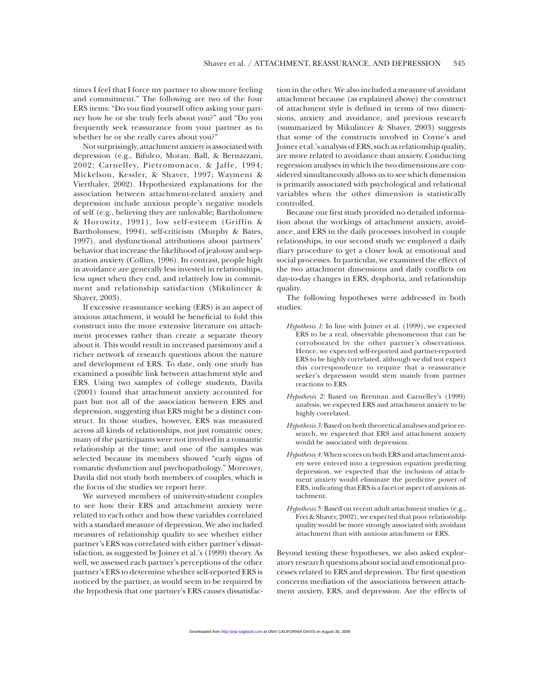times I feel that I force my partner to show more feeling and commitment." The following are two of the four ERS items: "Do you find yourself often asking your partner how he or she truly feels about you?" and "Do you frequently seek reassurance from your partner as to whether he or she really cares about you?"

Not surprisingly, attachment anxiety is associated with depression (e.g., Bifulco, Moran, Ball, & Bernazzani, 2002; Carnelley, Pietromonaco, & Jaffe, 1994; Mickelson, Kessler, & Shaver, 1997; Wayment & Vierthaler, 2002). Hypothesized explanations for the association between attachment-related anxiety and depression include anxious people's negative models of self (e.g., believing they are unlovable; Bartholomew & Horowitz, 1991), low self-esteem (Griffin & Bartholomew, 1994), self-criticism (Murphy & Bates, 1997), and dysfunctional attributions about partners' behavior that increase the likelihood of jealousy and separation anxiety (Collins, 1996). In contrast, people high in avoidance are generally less invested in relationships, less upset when they end, and relatively low in commitment and relationship satisfaction (Mikulincer & Shaver, 2003).

If excessive reassurance seeking (ERS) is an aspect of anxious attachment, it would be beneficial to fold this construct into the more extensive literature on attachment processes rather than create a separate theory about it. This would result in increased parsimony and a richer network of research questions about the nature and development of ERS. To date, only one study has examined a possible link between attachment style and ERS. Using two samples of college students, Davila (2001) found that attachment anxiety accounted for part but not all of the association between ERS and depression, suggesting that ERS might be a distinct construct. In those studies, however, ERS was measured across all kinds of relationships, not just romantic ones; many of the participants were not involved in a romantic relationship at the time; and one of the samples was selected because its members showed "early signs of romantic dysfunction and psychopathology." Moreover, Davila did not study both members of couples, which is the focus of the studies we report here.

We surveyed members of university-student couples to see how their ERS and attachment anxiety were related to each other and how these variables correlated with a standard measure of depression. We also included measures of relationship quality to see whether either partner's ERS was correlated with either partner's dissatisfaction, as suggested by Joiner et al.'s (1999) theory. As well, we assessed each partner's perceptions of the other partner's ERS to determine whether self-reported ERS is noticed by the partner, as would seem to be required by the hypothesis that one partner's ERS causes dissatisfaction in the other. We also included a measure of avoidant attachment because (as explained above) the construct of attachment style is defined in terms of two dimensions, anxiety and avoidance, and previous research (summarized by Mikulincer & Shaver, 2003) suggests that some of the constructs involved in Coyne's and Joiner et al.'s analysis of ERS, such as relationship quality, are more related to avoidance than anxiety. Conducting regression analyses in which the two dimensions are considered simultaneously allows us to see which dimension is primarily associated with psychological and relational variables when the other dimension is statistically controlled.

Because our first study provided no detailed information about the workings of attachment anxiety, avoidance, and ERS in the daily processes involved in couple relationships, in our second study we employed a daily diary procedure to get a closer look at emotional and social processes. In particular, we examined the effect of the two attachment dimensions and daily conflicts on day-to-day changes in ERS, dysphoria, and relationship quality.

The following hypotheses were addressed in both studies:

- *Hypothesis 1:* In line with Joiner et al. (1999), we expected ERS to be a real, observable phenomenon that can be corroborated by the other partner's observations. Hence, we expected self-reported and partner-reported ERS to be highly correlated, although we did not expect this correspondence to require that a reassurance seeker's depression would stem mainly from partner reactions to ERS.
- *Hypothesis 2:* Based on Brennan and Carnelley's (1999) analysis, we expected ERS and attachment anxiety to be highly correlated.
- *Hypothesis 3:*Based on both theoretical analyses and prior research, we expected that ERS and attachment anxiety would be associated with depression.
- *Hypothesis 4:* When scores on both ERS and attachment anxiety were entered into a regression equation predicting depression, we expected that the inclusion of attachment anxiety would eliminate the predictive power of ERS, indicating that ERS is a facet or aspect of anxious attachment.
- *Hypothesis 5:* Based on recent adult attachment studies (e.g., Frei & Shaver, 2002), we expected that poor relationship quality would be more strongly associated with avoidant attachment than with anxious attachment or ERS.

Beyond testing these hypotheses, we also asked exploratory research questions about social and emotional processes related to ERS and depression. The first question concerns mediation of the associations between attachment anxiety, ERS, and depression. Are the effects of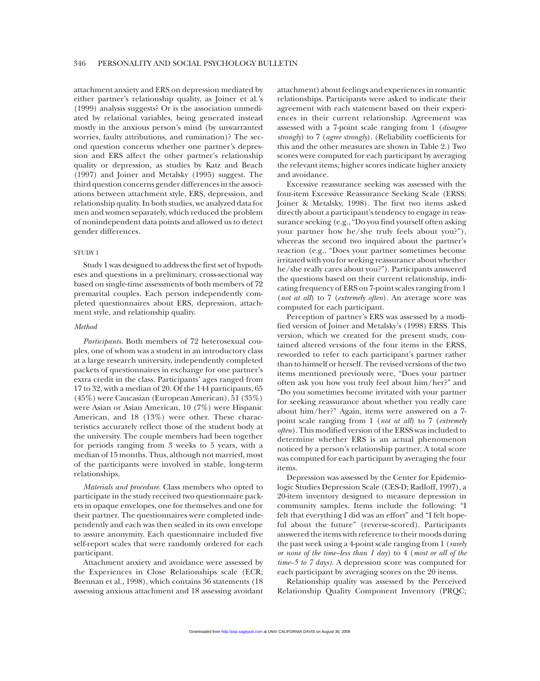attachment anxiety and ERS on depression mediated by either partner's relationship quality, as Joiner et al.'s (1999) analysis suggests? Or is the association unmediated by relational variables, being generated instead mostly in the anxious person's mind (by unwarranted worries, faulty attributions, and rumination)? The second question concerns whether one partner's depression and ERS affect the other partner's relationship quality or depression, as studies by Katz and Beach (1997) and Joiner and Metalsky (1995) suggest. The third question concerns gender differences in the associations between attachment style, ERS, depression, and relationship quality. In both studies, we analyzed data for men and women separately, which reduced the problem of nonindependent data points and allowed us to detect gender differences.

#### STUDY 1

Study 1 was designed to address the first set of hypotheses and questions in a preliminary, cross-sectional way based on single-time assessments of both members of 72 premarital couples. Each person independently completed questionnaires about ERS, depression, attachment style, and relationship quality.

#### *Method*

*Participants*. Both members of 72 heterosexual couples, one of whom was a student in an introductory class at a large research university, independently completed packets of questionnaires in exchange for one partner's extra credit in the class. Participants' ages ranged from 17 to 32, with a median of 20. Of the 144 participants, 65 (45%) were Caucasian (European American), 51 (35%) were Asian or Asian American, 10 (7%) were Hispanic American, and 18 (13%) were other. These characteristics accurately reflect those of the student body at the university. The couple members had been together for periods ranging from 3 weeks to 5 years, with a median of 15 months. Thus, although not married, most of the participants were involved in stable, long-term relationships.

*Materials and procedure*. Class members who opted to participate in the study received two questionnaire packets in opaque envelopes, one for themselves and one for their partner. The questionnaires were completed independently and each was then sealed in its own envelope to assure anonymity. Each questionnaire included five self-report scales that were randomly ordered for each participant.

Attachment anxiety and avoidance were assessed by the Experiences in Close Relationships scale (ECR; Brennan et al., 1998), which contains 36 statements (18 assessing anxious attachment and 18 assessing avoidant attachment) about feelings and experiences in romantic relationships. Participants were asked to indicate their agreement with each statement based on their experiences in their current relationship. Agreement was assessed with a 7-point scale ranging from 1 (*disagree strongly*) to 7 (*agree strongly*). (Reliability coefficients for this and the other measures are shown in Table 2.) Two scores were computed for each participant by averaging the relevant items; higher scores indicate higher anxiety and avoidance.

Excessive reassurance seeking was assessed with the four-item Excessive Reassurance Seeking Scale (ERSS; Joiner & Metalsky, 1998). The first two items asked directly about a participant's tendency to engage in reassurance seeking (e.g., "Do you find yourself often asking your partner how he/she truly feels about you?"), whereas the second two inquired about the partner's reaction (e.g., "Does your partner sometimes become irritated with you for seeking reassurance about whether he/she really cares about you?"). Participants answered the questions based on their current relationship, indicating frequency of ERS on 7-point scales ranging from 1 (*not at all*) to 7 (*extremely often*). An average score was computed for each participant.

Perception of partner's ERS was assessed by a modified version of Joiner and Metalsky's (1998) ERSS. This version, which we created for the present study, contained altered versions of the four items in the ERSS, reworded to refer to each participant's partner rather than to himself or herself. The revised versions of the two items mentioned previously were, "Does your partner often ask you how you truly feel about him/her?" and "Do you sometimes become irritated with your partner for seeking reassurance about whether you really care about him/her?" Again, items were answered on a 7 point scale ranging from 1 (*not at all*) to 7 (*extremely often*). This modified version of the ERSS was included to determine whether ERS is an actual phenomenon noticed by a person's relationship partner. A total score was computed for each participant by averaging the four items.

Depression was assessed by the Center for Epidemiologic Studies Depression Scale (CES-D; Radloff, 1997), a 20-item inventory designed to measure depression in community samples. Items include the following: "I felt that everything I did was an effort" and "I felt hopeful about the future" (reverse-scored). Participants answered the items with reference to their moods during the past week using a 4-point scale ranging from 1 (*rarely or none of the time–less than 1 day*) to 4 (*most or all of the time–5 to 7 days).* A depression score was computed for each participant by averaging scores on the 20 items.

Relationship quality was assessed by the Perceived Relationship Quality Component Inventory (PRQC;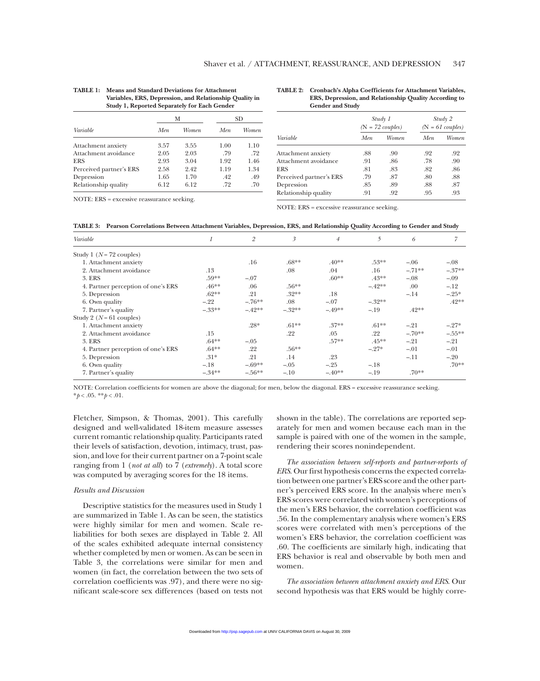|                         |      | М            | SD.      |       |
|-------------------------|------|--------------|----------|-------|
| Variable                | Men  | <i>Women</i> | Men.     | Women |
| Attachment anxiety      | 3.57 | 3.55         | $1.00\,$ | 1.10  |
| Attachment avoidance    | 2.05 | 2.03         | .79      | .72   |
| <b>ERS</b>              | 2.93 | 3.04         | 1.92     | 1.46  |
| Perceived partner's ERS | 2.58 | 2.42         | 1.19     | 1.34  |
| Depression              | 1.65 | 1.70         | .42      | .49   |
| Relationship quality    | 6.12 | 6.12         | .72      | .70   |

#### **TABLE 1: Means and Standard Deviations for Attachment Variables, ERS, Depression, and Relationship Quality in Study 1, Reported Separately for Each Gender**

#### **TABLE 2: Cronbach's Alpha Coefficients for Attachment Variables, ERS, Depression, and Relationship Quality According to Gender and Study**

| Variable                |     | Study 1<br>$(N = 72 \text{ couples})$ | Study 2<br>$(N = 61 \text{ couples})$ |       |
|-------------------------|-----|---------------------------------------|---------------------------------------|-------|
|                         | Men | <i>Women</i>                          | Men                                   | Women |
| Attachment anxiety      | .88 | .90                                   | .92                                   | .92   |
| Attachment avoidance    | .91 | .86                                   | .78                                   | .90   |
| <b>ERS</b>              | .81 | .83                                   | .82                                   | .86   |
| Perceived partner's ERS | .79 | .87                                   | .80                                   | .88   |
| Depression              | .85 | .89                                   | .88                                   | .87   |
| Relationship quality    | .91 | .92                                   | .95                                   | .93   |

NOTE: ERS = excessive reassurance seeking.

NOTE: ERS = excessive reassurance seeking.

#### **TABLE 3: Pearson Correlations Between Attachment Variables, Depression, ERS, and Relationship Quality According to Gender and Study**

| Variable                           | 1         | 2        | 3        | $\overline{4}$ | 5        | 6        |          |
|------------------------------------|-----------|----------|----------|----------------|----------|----------|----------|
| Study 1 ( $N = 72$ couples)        |           |          |          |                |          |          |          |
| 1. Attachment anxiety              |           | .16      | $.68**$  | $.40**$        | $.53**$  | $-.06$   | $-.08$   |
| 2. Attachment avoidance            | .13       |          | .08      | .04            | .16      | $-.71**$ | $-.37**$ |
| 3. ERS                             | $.59**$   | $-.07$   |          | $.60**$        | $.43**$  | $-.08$   | $-.09$   |
| 4. Partner perception of one's ERS | $.46**$   | .06      | $.56**$  |                | $-.42**$ | .00.     | $-.12$   |
| 5. Depression                      | $.62**$   | .21      | $.32**$  | .18            |          | $-.14$   | $-.25*$  |
| 6. Own quality                     | $-.22$    | $-.76**$ | .08      | $-.07$         | $-.32**$ |          | $.42**$  |
| 7. Partner's quality               | $-.33**$  | $-.42**$ | $-.32**$ | $-.49**$       | $-.19$   | $.42**$  |          |
| Study 2 ( $N = 61$ couples)        |           |          |          |                |          |          |          |
| 1. Attachment anxiety              |           | $.28*$   | $.61**$  | $.37**$        | $.61**$  | $-.21$   | $-.27*$  |
| 2. Attachment avoidance            | .15       |          | .22      | .05            | .22      | $-.70**$ | $-.55**$ |
| 3. ERS                             | $.64**$   | $-.05$   |          | $.57**$        | $.45***$ | $-.21$   | $-.21$   |
| 4. Partner perception of one's ERS | $.64***$  | .22      | $.56**$  |                | $-.27*$  | $-.01$   | $-.01$   |
| 5. Depression                      | $.31*$    | .21      | .14      | .23            |          | $-.11$   | $-.20$   |
| 6. Own quality                     | $-.18$    | $-.69**$ | $-.05$   | $-.25$         | $-.18$   |          | $.70**$  |
| 7. Partner's quality               | $-.34***$ | $-.56**$ | $-.10$   | $-.40**$       | $-.19$   | $.70**$  |          |

NOTE: Correlation coefficients for women are above the diagonal; for men, below the diagonal. ERS = excessive reassurance seeking. \**p* < .05. \*\**p* < .01.

Fletcher, Simpson, & Thomas, 2001). This carefully designed and well-validated 18-item measure assesses current romantic relationship quality. Participants rated their levels of satisfaction, devotion, intimacy, trust, passion, and love for their current partner on a 7-point scale ranging from 1 (*not at all*) to 7 (*extremely*). A total score was computed by averaging scores for the 18 items.

#### *Results and Discussion*

Descriptive statistics for the measures used in Study 1 are summarized in Table 1. As can be seen, the statistics were highly similar for men and women. Scale reliabilities for both sexes are displayed in Table 2. All of the scales exhibited adequate internal consistency whether completed by men or women. As can be seen in Table 3, the correlations were similar for men and women (in fact, the correlation between the two sets of correlation coefficients was .97), and there were no significant scale-score sex differences (based on tests not shown in the table). The correlations are reported separately for men and women because each man in the sample is paired with one of the women in the sample, rendering their scores nonindependent.

*The association between self-reports and partner-reports of ERS*. Our first hypothesis concerns the expected correlation between one partner's ERS score and the other partner's perceived ERS score. In the analysis where men's ERS scores were correlated with women's perceptions of the men's ERS behavior, the correlation coefficient was .56. In the complementary analysis where women's ERS scores were correlated with men's perceptions of the women's ERS behavior, the correlation coefficient was .60. The coefficients are similarly high, indicating that ERS behavior is real and observable by both men and women.

*The association between attachment anxiety and ERS*. Our second hypothesis was that ERS would be highly corre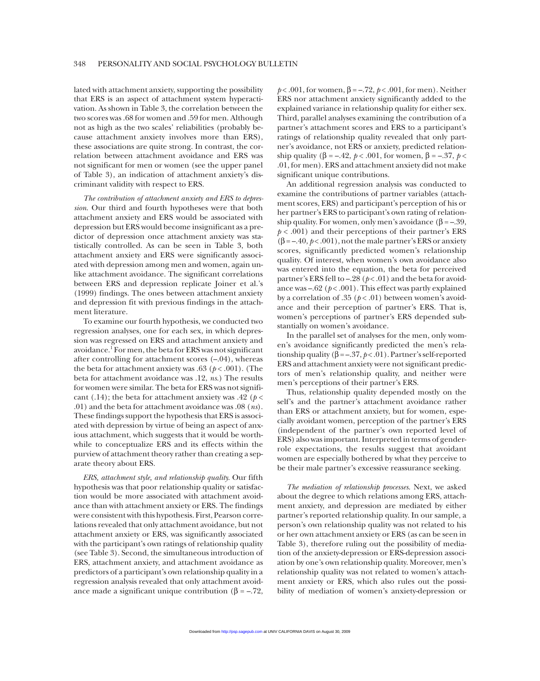lated with attachment anxiety, supporting the possibility that ERS is an aspect of attachment system hyperactivation. As shown in Table 3, the correlation between the two scores was .68 for women and .59 for men. Although not as high as the two scales' reliabilities (probably because attachment anxiety involves more than ERS), these associations are quite strong. In contrast, the correlation between attachment avoidance and ERS was not significant for men or women (see the upper panel of Table 3), an indication of attachment anxiety's discriminant validity with respect to ERS.

*The contribution of attachment anxiety and ERS to depression*. Our third and fourth hypotheses were that both attachment anxiety and ERS would be associated with depression but ERS would become insignificant as a predictor of depression once attachment anxiety was statistically controlled. As can be seen in Table 3, both attachment anxiety and ERS were significantly associated with depression among men and women, again unlike attachment avoidance. The significant correlations between ERS and depression replicate Joiner et al.'s (1999) findings. The ones between attachment anxiety and depression fit with previous findings in the attachment literature.

To examine our fourth hypothesis, we conducted two regression analyses, one for each sex, in which depression was regressed on ERS and attachment anxiety and avoidance.<sup>1</sup> For men, the beta for ERS was not significant after controlling for attachment scores (–.04), whereas the beta for attachment anxiety was .63 ( $p < .001$ ). (The beta for attachment avoidance was .12, *ns*.) The results for women were similar. The beta for ERS was not significant (.14); the beta for attachment anxiety was .42 ( $p$  < .01) and the beta for attachment avoidance was .08 (*ns*). These findings support the hypothesis that ERS is associated with depression by virtue of being an aspect of anxious attachment, which suggests that it would be worthwhile to conceptualize ERS and its effects within the purview of attachment theory rather than creating a separate theory about ERS.

*ERS, attachment style, and relationship quality*. Our fifth hypothesis was that poor relationship quality or satisfaction would be more associated with attachment avoidance than with attachment anxiety or ERS. The findings were consistent with this hypothesis. First, Pearson correlations revealed that only attachment avoidance, but not attachment anxiety or ERS, was significantly associated with the participant's own ratings of relationship quality (see Table 3). Second, the simultaneous introduction of ERS, attachment anxiety, and attachment avoidance as predictors of a participant's own relationship quality in a regression analysis revealed that only attachment avoidance made a significant unique contribution (β =  $-.72$ ,

 $p < .001$ , for women,  $\beta = -.72$ ,  $p < .001$ , for men). Neither ERS nor attachment anxiety significantly added to the explained variance in relationship quality for either sex. Third, parallel analyses examining the contribution of a partner's attachment scores and ERS to a participant's ratings of relationship quality revealed that only partner's avoidance, not ERS or anxiety, predicted relationship quality ( $\beta = -.42$ ,  $p < .001$ , for women,  $\beta = -.37$ ,  $p <$ .01, for men). ERS and attachment anxiety did not make significant unique contributions.

An additional regression analysis was conducted to examine the contributions of partner variables (attachment scores, ERS) and participant's perception of his or her partner's ERS to participant's own rating of relationship quality. For women, only men's avoidance ( $\beta = -.39$ ,  $p < .001$ ) and their perceptions of their partner's ERS  $(\beta = -10, \, \textit{p} < 0.001)$ , not the male partner's ERS or anxiety scores, significantly predicted women's relationship quality. Of interest, when women's own avoidance also was entered into the equation, the beta for perceived partner's ERS fell to  $-.28$  ( $p$  < .01) and the beta for avoidance was –.62 (*p* < .001). This effect was partly explained by a correlation of .35 ( $p < .01$ ) between women's avoidance and their perception of partner's ERS. That is, women's perceptions of partner's ERS depended substantially on women's avoidance.

In the parallel set of analyses for the men, only women's avoidance significantly predicted the men's relationship quality  $(\beta = -0.37, \cancel{p} < 0.01)$ . Partner's self-reported ERS and attachment anxiety were not significant predictors of men's relationship quality, and neither were men's perceptions of their partner's ERS.

Thus, relationship quality depended mostly on the self's and the partner's attachment avoidance rather than ERS or attachment anxiety, but for women, especially avoidant women, perception of the partner's ERS (independent of the partner's own reported level of ERS) also was important. Interpreted in terms of genderrole expectations, the results suggest that avoidant women are especially bothered by what they perceive to be their male partner's excessive reassurance seeking.

*The mediation of relationship processes*. Next, we asked about the degree to which relations among ERS, attachment anxiety, and depression are mediated by either partner's reported relationship quality. In our sample, a person's own relationship quality was not related to his or her own attachment anxiety or ERS (as can be seen in Table 3), therefore ruling out the possibility of mediation of the anxiety-depression or ERS-depression association by one's own relationship quality. Moreover, men's relationship quality was not related to women's attachment anxiety or ERS, which also rules out the possibility of mediation of women's anxiety-depression or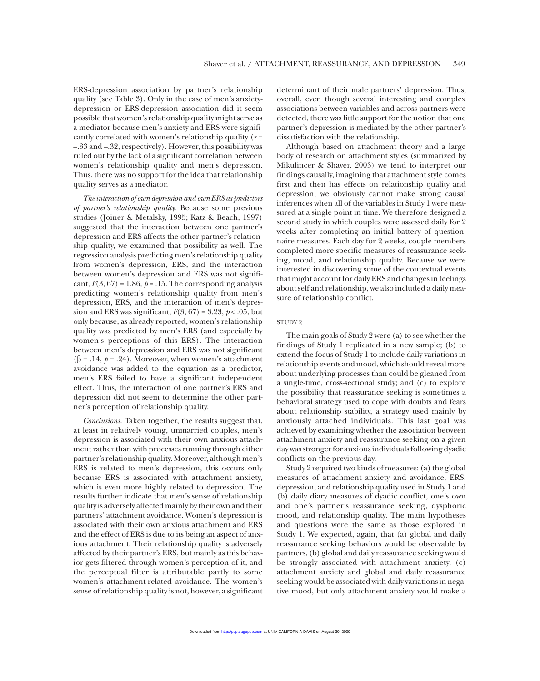ERS-depression association by partner's relationship quality (see Table 3). Only in the case of men's anxietydepression or ERS-depression association did it seem possible that women's relationship quality might serve as a mediator because men's anxiety and ERS were significantly correlated with women's relationship quality (*r* = –.33 and –.32, respectively). However, this possibility was ruled out by the lack of a significant correlation between women's relationship quality and men's depression. Thus, there was no support for the idea that relationship quality serves as a mediator.

*The interaction of own depression and own ERS as predictors of partner's relationship quality*. Because some previous studies (Joiner & Metalsky, 1995; Katz & Beach, 1997) suggested that the interaction between one partner's depression and ERS affects the other partner's relationship quality, we examined that possibility as well. The regression analysis predicting men's relationship quality from women's depression, ERS, and the interaction between women's depression and ERS was not significant,  $F(3, 67) = 1.86$ ,  $p = .15$ . The corresponding analysis predicting women's relationship quality from men's depression, ERS, and the interaction of men's depression and ERS was significant,  $F(3, 67) = 3.23, p < .05$ , but only because, as already reported, women's relationship quality was predicted by men's ERS (and especially by women's perceptions of this ERS). The interaction between men's depression and ERS was not significant  $(\beta = .14, p = .24)$ . Moreover, when women's attachment avoidance was added to the equation as a predictor, men's ERS failed to have a significant independent effect. Thus, the interaction of one partner's ERS and depression did not seem to determine the other partner's perception of relationship quality.

*Conclusions*. Taken together, the results suggest that, at least in relatively young, unmarried couples, men's depression is associated with their own anxious attachment rather than with processes running through either partner's relationship quality. Moreover, although men's ERS is related to men's depression, this occurs only because ERS is associated with attachment anxiety, which is even more highly related to depression. The results further indicate that men's sense of relationship quality is adversely affected mainly by their own and their partners' attachment avoidance. Women's depression is associated with their own anxious attachment and ERS and the effect of ERS is due to its being an aspect of anxious attachment. Their relationship quality is adversely affected by their partner's ERS, but mainly as this behavior gets filtered through women's perception of it, and the perceptual filter is attributable partly to some women's attachment-related avoidance. The women's sense of relationship quality is not, however, a significant determinant of their male partners' depression. Thus, overall, even though several interesting and complex associations between variables and across partners were detected, there was little support for the notion that one partner's depression is mediated by the other partner's dissatisfaction with the relationship.

Although based on attachment theory and a large body of research on attachment styles (summarized by Mikulincer & Shaver, 2003) we tend to interpret our findings causally, imagining that attachment style comes first and then has effects on relationship quality and depression, we obviously cannot make strong causal inferences when all of the variables in Study 1 were measured at a single point in time. We therefore designed a second study in which couples were assessed daily for 2 weeks after completing an initial battery of questionnaire measures. Each day for 2 weeks, couple members completed more specific measures of reassurance seeking, mood, and relationship quality. Because we were interested in discovering some of the contextual events that might account for daily ERS and changes in feelings about self and relationship, we also included a daily measure of relationship conflict.

#### STUDY 2

The main goals of Study 2 were (a) to see whether the findings of Study 1 replicated in a new sample; (b) to extend the focus of Study 1 to include daily variations in relationship events and mood, which should reveal more about underlying processes than could be gleaned from a single-time, cross-sectional study; and (c) to explore the possibility that reassurance seeking is sometimes a behavioral strategy used to cope with doubts and fears about relationship stability, a strategy used mainly by anxiously attached individuals. This last goal was achieved by examining whether the association between attachment anxiety and reassurance seeking on a given day was stronger for anxious individuals following dyadic conflicts on the previous day.

Study 2 required two kinds of measures: (a) the global measures of attachment anxiety and avoidance, ERS, depression, and relationship quality used in Study 1 and (b) daily diary measures of dyadic conflict, one's own and one's partner's reassurance seeking, dysphoric mood, and relationship quality. The main hypotheses and questions were the same as those explored in Study 1. We expected, again, that (a) global and daily reassurance seeking behaviors would be observable by partners, (b) global and daily reassurance seeking would be strongly associated with attachment anxiety, (c) attachment anxiety and global and daily reassurance seeking would be associated with daily variations in negative mood, but only attachment anxiety would make a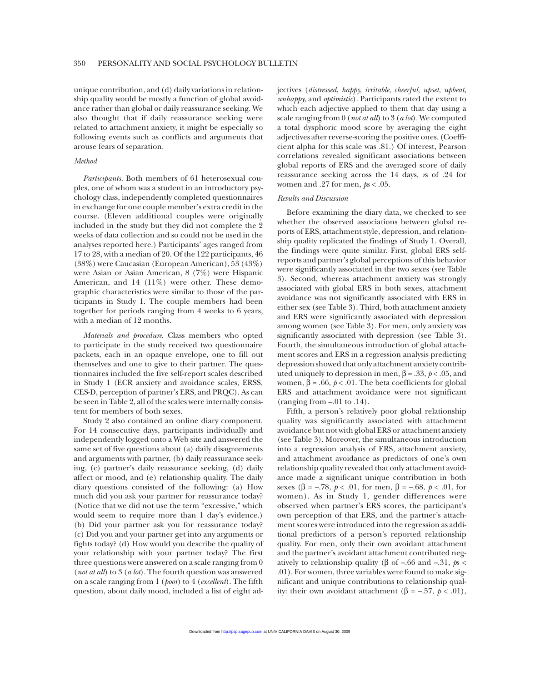unique contribution, and (d) daily variations in relationship quality would be mostly a function of global avoidance rather than global or daily reassurance seeking. We also thought that if daily reassurance seeking were related to attachment anxiety, it might be especially so following events such as conflicts and arguments that arouse fears of separation.

#### *Method*

*Participants*. Both members of 61 heterosexual couples, one of whom was a student in an introductory psychology class, independently completed questionnaires in exchange for one couple member's extra credit in the course. (Eleven additional couples were originally included in the study but they did not complete the 2 weeks of data collection and so could not be used in the analyses reported here.) Participants' ages ranged from 17 to 28, with a median of 20. Of the 122 participants, 46 (38%) were Caucasian (European American), 53 (43%) were Asian or Asian American, 8 (7%) were Hispanic American, and 14 (11%) were other. These demographic characteristics were similar to those of the participants in Study 1. The couple members had been together for periods ranging from 4 weeks to 6 years, with a median of 12 months.

*Materials and procedure*. Class members who opted to participate in the study received two questionnaire packets, each in an opaque envelope, one to fill out themselves and one to give to their partner. The questionnaires included the five self-report scales described in Study 1 (ECR anxiety and avoidance scales, ERSS, CES-D, perception of partner's ERS, and PRQC). As can be seen in Table 2, all of the scales were internally consistent for members of both sexes.

Study 2 also contained an online diary component. For 14 consecutive days, participants individually and independently logged onto a Web site and answered the same set of five questions about (a) daily disagreements and arguments with partner, (b) daily reassurance seeking, (c) partner's daily reassurance seeking, (d) daily affect or mood, and (e) relationship quality. The daily diary questions consisted of the following: (a) How much did you ask your partner for reassurance today? (Notice that we did not use the term "excessive," which would seem to require more than 1 day's evidence.) (b) Did your partner ask you for reassurance today? (c) Did you and your partner get into any arguments or fights today? (d) How would you describe the quality of your relationship with your partner today? The first three questions were answered on a scale ranging from 0 (*not at all*) to 3 (*a lot*). The fourth question was answered on a scale ranging from 1 (*poor*) to 4 (*excellent*). The fifth question, about daily mood, included a list of eight adjectives (*distressed*, *happy*, *irritable*, *cheerful*, *upset*, *upbeat*, *unhappy*, and *optimistic*). Participants rated the extent to which each adjective applied to them that day using a scale ranging from 0 (*not at all*) to 3 (*a lot*). We computed a total dysphoric mood score by averaging the eight adjectives after reverse-scoring the positive ones. (Coefficient alpha for this scale was .81.) Of interest, Pearson correlations revealed significant associations between global reports of ERS and the averaged score of daily reassurance seeking across the 14 days, *r*s of .24 for women and .27 for men, *p*s < .05.

#### *Results and Discussion*

Before examining the diary data, we checked to see whether the observed associations between global reports of ERS, attachment style, depression, and relationship quality replicated the findings of Study 1. Overall, the findings were quite similar. First, global ERS selfreports and partner's global perceptions of this behavior were significantly associated in the two sexes (see Table 3). Second, whereas attachment anxiety was strongly associated with global ERS in both sexes, attachment avoidance was not significantly associated with ERS in either sex (see Table 3). Third, both attachment anxiety and ERS were significantly associated with depression among women (see Table 3). For men, only anxiety was significantly associated with depression (see Table 3). Fourth, the simultaneous introduction of global attachment scores and ERS in a regression analysis predicting depression showed that only attachment anxiety contributed uniquely to depression in men,  $β = .33, β < .05$ , and women,  $β = .66, *p* < .01$ . The beta coefficients for global ERS and attachment avoidance were not significant (ranging from  $-.01$  to  $.14$ ).

Fifth, a person's relatively poor global relationship quality was significantly associated with attachment avoidance but not with global ERS or attachment anxiety (see Table 3). Moreover, the simultaneous introduction into a regression analysis of ERS, attachment anxiety, and attachment avoidance as predictors of one's own relationship quality revealed that only attachment avoidance made a significant unique contribution in both sexes (β = –.78,  $p < .01$ , for men, β = –.68,  $p < .01$ , for women). As in Study 1, gender differences were observed when partner's ERS scores, the participant's own perception of that ERS, and the partner's attachment scores were introduced into the regression as additional predictors of a person's reported relationship quality. For men, only their own avoidant attachment and the partner's avoidant attachment contributed negatively to relationship quality ( $\beta$  of –.66 and –.31,  $\beta$ s < .01). For women, three variables were found to make significant and unique contributions to relationship quality: their own avoidant attachment ( $β = -.57, p < .01$ ),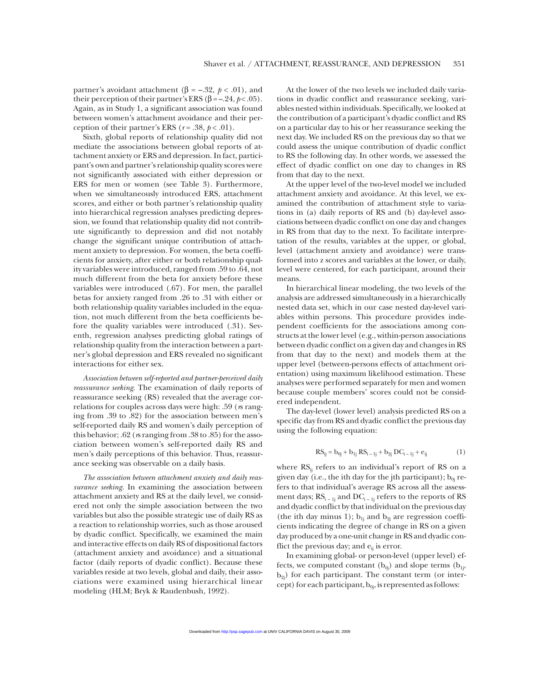partner's avoidant attachment (β = –.32,  $p < .01$ ), and their perception of their partner's ERS ( $\beta = -0.24$ ,  $p < 0.05$ ). Again, as in Study 1, a significant association was found between women's attachment avoidance and their perception of their partner's ERS  $(r=.38, p < .01)$ .

Sixth, global reports of relationship quality did not mediate the associations between global reports of attachment anxiety or ERS and depression. In fact, participant's own and partner's relationship quality scores were not significantly associated with either depression or ERS for men or women (see Table 3). Furthermore, when we simultaneously introduced ERS, attachment scores, and either or both partner's relationship quality into hierarchical regression analyses predicting depression, we found that relationship quality did not contribute significantly to depression and did not notably change the significant unique contribution of attachment anxiety to depression. For women, the beta coefficients for anxiety, after either or both relationship quality variables were introduced, ranged from .59 to .64, not much different from the beta for anxiety before these variables were introduced (.67). For men, the parallel betas for anxiety ranged from .26 to .31 with either or both relationship quality variables included in the equation, not much different from the beta coefficients before the quality variables were introduced (.31). Seventh, regression analyses predicting global ratings of relationship quality from the interaction between a partner's global depression and ERS revealed no significant interactions for either sex.

*Association between self-reported and partner-perceived daily reassurance seeking*. The examination of daily reports of reassurance seeking (RS) revealed that the average correlations for couples across days were high: .59 (*r*s ranging from .39 to .82) for the association between men's self-reported daily RS and women's daily perception of this behavior; .62 (*r*s ranging from .38 to .85) for the association between women's self-reported daily RS and men's daily perceptions of this behavior. Thus, reassurance seeking was observable on a daily basis.

*The association between attachment anxiety and daily reassurance seeking*. In examining the association between attachment anxiety and RS at the daily level, we considered not only the simple association between the two variables but also the possible strategic use of daily RS as a reaction to relationship worries, such as those aroused by dyadic conflict. Specifically, we examined the main and interactive effects on daily RS of dispositional factors (attachment anxiety and avoidance) and a situational factor (daily reports of dyadic conflict). Because these variables reside at two levels, global and daily, their associations were examined using hierarchical linear modeling (HLM; Bryk & Raudenbush, 1992).

At the lower of the two levels we included daily variations in dyadic conflict and reassurance seeking, variables nested within individuals. Specifically, we looked at the contribution of a participant's dyadic conflict and RS on a particular day to his or her reassurance seeking the next day. We included RS on the previous day so that we could assess the unique contribution of dyadic conflict to RS the following day. In other words, we assessed the effect of dyadic conflict on one day to changes in RS from that day to the next.

At the upper level of the two-level model we included attachment anxiety and avoidance. At this level, we examined the contribution of attachment style to variations in (a) daily reports of RS and (b) day-level associations between dyadic conflict on one day and changes in RS from that day to the next. To facilitate interpretation of the results, variables at the upper, or global, level (attachment anxiety and avoidance) were transformed into z scores and variables at the lower, or daily, level were centered, for each participant, around their means.

In hierarchical linear modeling, the two levels of the analysis are addressed simultaneously in a hierarchically nested data set, which in our case nested day-level variables within persons. This procedure provides independent coefficients for the associations among constructs at the lower level (e.g., within-person associations between dyadic conflict on a given day and changes in RS from that day to the next) and models them at the upper level (between-persons effects of attachment orientation) using maximum likelihood estimation. These analyses were performed separately for men and women because couple members' scores could not be considered independent.

The day-level (lower level) analysis predicted RS on a specific day from RS and dyadic conflict the previous day using the following equation:

$$
RS_{ij} = b_{0j} + b_{1j} RS_{i-1j} + b_{2j} DC_{i-1j} + e_{ij}
$$
 (1)

where  $\text{RS}_{ii}$  refers to an individual's report of RS on a given day (i.e., the ith day for the jth participant);  $b_{0i}$  refers to that individual's average RS across all the assessment days;  $RS_{i-1j}$  and  $DC_{i-1j}$  refers to the reports of RS and dyadic conflict by that individual on the previous day (the ith day minus 1);  $b_{1j}$  and  $b_{2j}$  are regression coefficients indicating the degree of change in RS on a given day produced by a one-unit change in RS and dyadic conflict the previous day; and  $e_{ii}$  is error.

In examining global- or person-level (upper level) effects, we computed constant  $(b_{0j})$  and slope terms  $(b_{1j},)$  $b_{2i}$ ) for each participant. The constant term (or intercept) for each participant,  $b_{0j}$ , is represented as follows: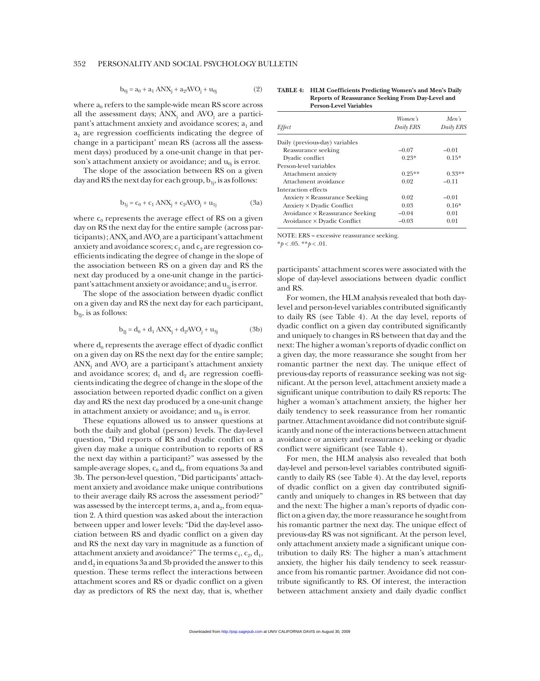$$
b_{0j} = a_0 + a_1 ANX_j + a_2 AVO_j + u_{0j}
$$
 (2)

where  $a_0$  refers to the sample-wide mean RS score across all the assessment days;  $ANX_i$  and  $AVO_i$  are a participant's attachment anxiety and avoidance scores;  $a_1$  and a<sub>2</sub> are regression coefficients indicating the degree of change in a participant' mean RS (across all the assessment days) produced by a one-unit change in that person's attachment anxiety or avoidance; and  $u_{0i}$  is error.

The slope of the association between RS on a given day and RS the next day for each group,  $b_{1i}$ , is as follows:

$$
b_{1j} = c_0 + c_1 ANX_j + c_2 AVO_j + u_{1j}
$$
 (3a)

where  $c_0$  represents the average effect of RS on a given day on RS the next day for the entire sample (across participants);  $ANX_i$  and  $AVO_i$  are a participant's attachment anxiety and avoidance scores;  $c_1$  and  $c_2$  are regression coefficients indicating the degree of change in the slope of the association between RS on a given day and RS the next day produced by a one-unit change in the participant's attachment anxiety or avoidance; and  $u_{1i}$  is error.

The slope of the association between dyadic conflict on a given day and RS the next day for each participant,  $b_{2i}$ , is as follows:

$$
b_{2j} = d_0 + d_1 ANX_j + d_2 AVO_j + u_{3j}
$$
 (3b)

where  $d_0$  represents the average effect of dyadic conflict on a given day on RS the next day for the entire sample;  $ANX_i$  and  $AVO_i$  are a participant's attachment anxiety and avoidance scores;  $d_1$  and  $d_2$  are regression coefficients indicating the degree of change in the slope of the association between reported dyadic conflict on a given day and RS the next day produced by a one-unit change in attachment anxiety or avoidance; and  $u_{3i}$  is error.

These equations allowed us to answer questions at both the daily and global (person) levels. The day-level question, "Did reports of RS and dyadic conflict on a given day make a unique contribution to reports of RS the next day within a participant?" was assessed by the sample-average slopes,  $c_0$  and  $d_0$ , from equations 3a and 3b. The person-level question, "Did participants' attachment anxiety and avoidance make unique contributions to their average daily RS across the assessment period?" was assessed by the intercept terms,  $a_1$  and  $a_2$ , from equation 2. A third question was asked about the interaction between upper and lower levels: "Did the day-level association between RS and dyadic conflict on a given day and RS the next day vary in magnitude as a function of attachment anxiety and avoidance?" The terms  $c_1, c_2, d_1$ , and  $d_2$  in equations 3a and 3b provided the answer to this question. These terms reflect the interactions between attachment scores and RS or dyadic conflict on a given day as predictors of RS the next day, that is, whether

**TABLE 4: HLM Coefficients Predicting Women's and Men's Daily Reports of Reassurance Seeking From Day-Level and Person-Level Variables**

| Women's   | Men's     |  |  |
|-----------|-----------|--|--|
| Daily ERS | Daily ERS |  |  |
|           |           |  |  |
| $-0.07$   | $-0.01$   |  |  |
| $0.23*$   | $0.15*$   |  |  |
|           |           |  |  |
| $0.25**$  | $0.33**$  |  |  |
| 0.02      | $-0.11$   |  |  |
|           |           |  |  |
| 0.02      | $-0.01$   |  |  |
| 0.03      | $0.16*$   |  |  |
| $-0.04$   | 0.01      |  |  |
| $-0.03$   | 0.01      |  |  |
|           |           |  |  |

NOTE: ERS = excessive reassurance seeking.

\**p* < .05. \*\**p* < .01.

participants' attachment scores were associated with the slope of day-level associations between dyadic conflict and RS.

For women, the HLM analysis revealed that both daylevel and person-level variables contributed significantly to daily RS (see Table 4). At the day level, reports of dyadic conflict on a given day contributed significantly and uniquely to changes in RS between that day and the next: The higher a woman's reports of dyadic conflict on a given day, the more reassurance she sought from her romantic partner the next day. The unique effect of previous-day reports of reassurance seeking was not significant. At the person level, attachment anxiety made a significant unique contribution to daily RS reports: The higher a woman's attachment anxiety, the higher her daily tendency to seek reassurance from her romantic partner. Attachment avoidance did not contribute significantly and none of the interactions between attachment avoidance or anxiety and reassurance seeking or dyadic conflict were significant (see Table 4).

For men, the HLM analysis also revealed that both day-level and person-level variables contributed significantly to daily RS (see Table 4). At the day level, reports of dyadic conflict on a given day contributed significantly and uniquely to changes in RS between that day and the next: The higher a man's reports of dyadic conflict on a given day, the more reassurance he sought from his romantic partner the next day. The unique effect of previous-day RS was not significant. At the person level, only attachment anxiety made a significant unique contribution to daily RS: The higher a man's attachment anxiety, the higher his daily tendency to seek reassurance from his romantic partner. Avoidance did not contribute significantly to RS. Of interest, the interaction between attachment anxiety and daily dyadic conflict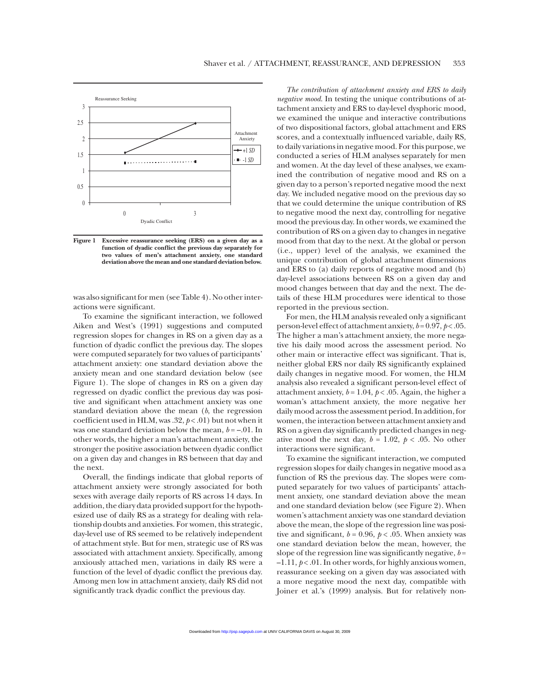

**Figure 1 Excessive reassurance seeking (ERS) on a given day as a function of dyadic conflict the previous day separately for two values of men's attachment anxiety, one standard deviation above the mean and one standard deviation below.**

was also significant for men (see Table 4). No other interactions were significant.

To examine the significant interaction, we followed Aiken and West's (1991) suggestions and computed regression slopes for changes in RS on a given day as a function of dyadic conflict the previous day. The slopes were computed separately for two values of participants' attachment anxiety: one standard deviation above the anxiety mean and one standard deviation below (see Figure 1). The slope of changes in RS on a given day regressed on dyadic conflict the previous day was positive and significant when attachment anxiety was one standard deviation above the mean (*b*, the regression coefficient used in HLM, was .32,  $p < .01$ ) but not when it was one standard deviation below the mean,  $b = -01$ . In other words, the higher a man's attachment anxiety, the stronger the positive association between dyadic conflict on a given day and changes in RS between that day and the next.

Overall, the findings indicate that global reports of attachment anxiety were strongly associated for both sexes with average daily reports of RS across 14 days. In addition, the diary data provided support for the hypothesized use of daily RS as a strategy for dealing with relationship doubts and anxieties. For women, this strategic, day-level use of RS seemed to be relatively independent of attachment style. But for men, strategic use of RS was associated with attachment anxiety. Specifically, among anxiously attached men, variations in daily RS were a function of the level of dyadic conflict the previous day. Among men low in attachment anxiety, daily RS did not significantly track dyadic conflict the previous day.

*The contribution of attachment anxiety and ERS to daily negative mood*. In testing the unique contributions of attachment anxiety and ERS to day-level dysphoric mood, we examined the unique and interactive contributions of two dispositional factors, global attachment and ERS scores, and a contextually influenced variable, daily RS, to daily variations in negative mood. For this purpose, we conducted a series of HLM analyses separately for men and women. At the day level of these analyses, we examined the contribution of negative mood and RS on a given day to a person's reported negative mood the next day. We included negative mood on the previous day so that we could determine the unique contribution of RS to negative mood the next day, controlling for negative mood the previous day. In other words, we examined the contribution of RS on a given day to changes in negative mood from that day to the next. At the global or person (i.e., upper) level of the analysis, we examined the unique contribution of global attachment dimensions and ERS to (a) daily reports of negative mood and (b) day-level associations between RS on a given day and mood changes between that day and the next. The details of these HLM procedures were identical to those reported in the previous section.

For men, the HLM analysis revealed only a significant person-level effect of attachment anxiety, *b* = 0.97, *p* < .05. The higher a man's attachment anxiety, the more negative his daily mood across the assessment period. No other main or interactive effect was significant. That is, neither global ERS nor daily RS significantly explained daily changes in negative mood. For women, the HLM analysis also revealed a significant person-level effect of attachment anxiety,  $b = 1.04$ ,  $p < .05$ . Again, the higher a woman's attachment anxiety, the more negative her daily mood across the assessment period. In addition, for women, the interaction between attachment anxiety and RS on a given day significantly predicted changes in negative mood the next day,  $b = 1.02$ ,  $p < .05$ . No other interactions were significant.

To examine the significant interaction, we computed regression slopes for daily changes in negative mood as a function of RS the previous day. The slopes were computed separately for two values of participants' attachment anxiety, one standard deviation above the mean and one standard deviation below (see Figure 2). When women's attachment anxiety was one standard deviation above the mean, the slope of the regression line was positive and significant,  $b = 0.96$ ,  $p < .05$ . When anxiety was one standard deviation below the mean, however, the slope of the regression line was significantly negative,  $b =$  $-1.11, p < 0.01$ . In other words, for highly anxious women, reassurance seeking on a given day was associated with a more negative mood the next day, compatible with Joiner et al.'s (1999) analysis. But for relatively non-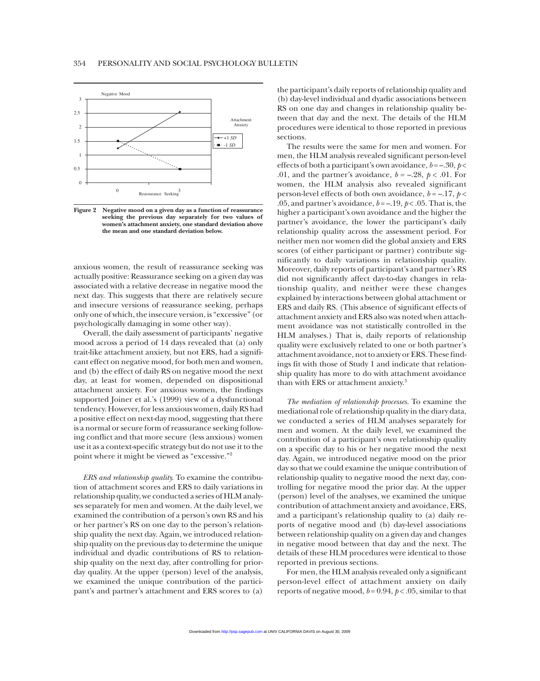

**Figure 2 Negative mood on a given day as a function of reassurance seeking the previous day separately for two values of women's attachment anxiety, one standard deviation above the mean and one standard deviation below.**

anxious women, the result of reassurance seeking was actually positive: Reassurance seeking on a given day was associated with a relative decrease in negative mood the next day. This suggests that there are relatively secure and insecure versions of reassurance seeking, perhaps only one of which, the insecure version, is "excessive" (or psychologically damaging in some other way).

Overall, the daily assessment of participants' negative mood across a period of 14 days revealed that (a) only trait-like attachment anxiety, but not ERS, had a significant effect on negative mood, for both men and women, and (b) the effect of daily RS on negative mood the next day, at least for women, depended on dispositional attachment anxiety. For anxious women, the findings supported Joiner et al.'s (1999) view of a dysfunctional tendency. However, for less anxious women, daily RS had a positive effect on next-day mood, suggesting that there is a normal or secure form of reassurance seeking following conflict and that more secure (less anxious) women use it as a context-specific strategy but do not use it to the point where it might be viewed as "excessive."<sup>2</sup>

*ERS and relationship quality*. To examine the contribution of attachment scores and ERS to daily variations in relationship quality, we conducted a series of HLM analyses separately for men and women. At the daily level, we examined the contribution of a person's own RS and his or her partner's RS on one day to the person's relationship quality the next day. Again, we introduced relationship quality on the previous day to determine the unique individual and dyadic contributions of RS to relationship quality on the next day, after controlling for priorday quality. At the upper (person) level of the analysis, we examined the unique contribution of the participant's and partner's attachment and ERS scores to (a) the participant's daily reports of relationship quality and (b) day-level individual and dyadic associations between RS on one day and changes in relationship quality between that day and the next. The details of the HLM procedures were identical to those reported in previous sections.

The results were the same for men and women. For men, the HLM analysis revealed significant person-level effects of both a participant's own avoidance,  $b = -0.30$ ,  $p <$ .01, and the partner's avoidance,  $b = -.28$ ,  $p < .01$ . For women, the HLM analysis also revealed significant person-level effects of both own avoidance,  $b = -17$ ,  $p <$ .05, and partner's avoidance,  $b = -19$ ,  $p < .05$ . That is, the higher a participant's own avoidance and the higher the partner's avoidance, the lower the participant's daily relationship quality across the assessment period. For neither men nor women did the global anxiety and ERS scores (of either participant or partner) contribute significantly to daily variations in relationship quality. Moreover, daily reports of participant's and partner's RS did not significantly affect day-to-day changes in relationship quality, and neither were these changes explained by interactions between global attachment or ERS and daily RS. (This absence of significant effects of attachment anxiety and ERS also was noted when attachment avoidance was not statistically controlled in the HLM analyses.) That is, daily reports of relationship quality were exclusively related to one or both partner's attachment avoidance, not to anxiety or ERS. These findings fit with those of Study 1 and indicate that relationship quality has more to do with attachment avoidance than with ERS or attachment anxiety.<sup>3</sup>

*The mediation of relationship processes*. To examine the mediational role of relationship quality in the diary data, we conducted a series of HLM analyses separately for men and women. At the daily level, we examined the contribution of a participant's own relationship quality on a specific day to his or her negative mood the next day. Again, we introduced negative mood on the prior day so that we could examine the unique contribution of relationship quality to negative mood the next day, controlling for negative mood the prior day. At the upper (person) level of the analyses, we examined the unique contribution of attachment anxiety and avoidance, ERS, and a participant's relationship quality to (a) daily reports of negative mood and (b) day-level associations between relationship quality on a given day and changes in negative mood between that day and the next. The details of these HLM procedures were identical to those reported in previous sections.

For men, the HLM analysis revealed only a significant person-level effect of attachment anxiety on daily reports of negative mood,  $b = 0.94$ ,  $p < .05$ , similar to that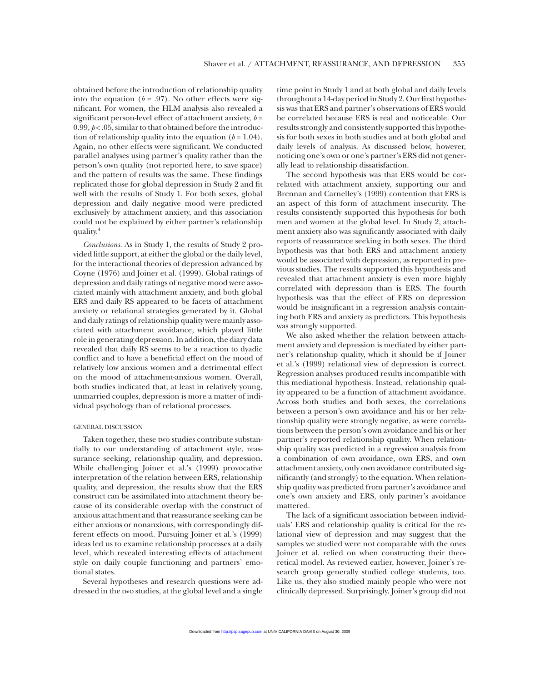obtained before the introduction of relationship quality into the equation  $(b = .97)$ . No other effects were significant. For women, the HLM analysis also revealed a significant person-level effect of attachment anxiety, *b* = 0.99,  $p < 0.05$ , similar to that obtained before the introduction of relationship quality into the equation  $(b = 1.04)$ . Again, no other effects were significant. We conducted parallel analyses using partner's quality rather than the person's own quality (not reported here, to save space) and the pattern of results was the same. These findings replicated those for global depression in Study 2 and fit well with the results of Study 1. For both sexes, global depression and daily negative mood were predicted exclusively by attachment anxiety, and this association could not be explained by either partner's relationship quality.<sup>4</sup>

*Conclusions*. As in Study 1, the results of Study 2 provided little support, at either the global or the daily level, for the interactional theories of depression advanced by Coyne (1976) and Joiner et al. (1999). Global ratings of depression and daily ratings of negative mood were associated mainly with attachment anxiety, and both global ERS and daily RS appeared to be facets of attachment anxiety or relational strategies generated by it. Global and daily ratings of relationship quality were mainly associated with attachment avoidance, which played little role in generating depression. In addition, the diary data revealed that daily RS seems to be a reaction to dyadic conflict and to have a beneficial effect on the mood of relatively low anxious women and a detrimental effect on the mood of attachment-anxious women. Overall, both studies indicated that, at least in relatively young, unmarried couples, depression is more a matter of individual psychology than of relational processes.

#### GENERAL DISCUSSION

Taken together, these two studies contribute substantially to our understanding of attachment style, reassurance seeking, relationship quality, and depression. While challenging Joiner et al.'s (1999) provocative interpretation of the relation between ERS, relationship quality, and depression, the results show that the ERS construct can be assimilated into attachment theory because of its considerable overlap with the construct of anxious attachment and that reassurance seeking can be either anxious or nonanxious, with correspondingly different effects on mood. Pursuing Joiner et al.'s (1999) ideas led us to examine relationship processes at a daily level, which revealed interesting effects of attachment style on daily couple functioning and partners' emotional states.

Several hypotheses and research questions were addressed in the two studies, at the global level and a single time point in Study 1 and at both global and daily levels throughout a 14-day period in Study 2. Our first hypothesis was that ERS and partner's observations of ERS would be correlated because ERS is real and noticeable. Our results strongly and consistently supported this hypothesis for both sexes in both studies and at both global and daily levels of analysis. As discussed below, however, noticing one's own or one's partner's ERS did not generally lead to relationship dissatisfaction.

The second hypothesis was that ERS would be correlated with attachment anxiety, supporting our and Brennan and Carnelley's (1999) contention that ERS is an aspect of this form of attachment insecurity. The results consistently supported this hypothesis for both men and women at the global level. In Study 2, attachment anxiety also was significantly associated with daily reports of reassurance seeking in both sexes. The third hypothesis was that both ERS and attachment anxiety would be associated with depression, as reported in previous studies. The results supported this hypothesis and revealed that attachment anxiety is even more highly correlated with depression than is ERS. The fourth hypothesis was that the effect of ERS on depression would be insignificant in a regression analysis containing both ERS and anxiety as predictors. This hypothesis was strongly supported.

We also asked whether the relation between attachment anxiety and depression is mediated by either partner's relationship quality, which it should be if Joiner et al.'s (1999) relational view of depression is correct. Regression analyses produced results incompatible with this mediational hypothesis. Instead, relationship quality appeared to be a function of attachment avoidance. Across both studies and both sexes, the correlations between a person's own avoidance and his or her relationship quality were strongly negative, as were correlations between the person's own avoidance and his or her partner's reported relationship quality. When relationship quality was predicted in a regression analysis from a combination of own avoidance, own ERS, and own attachment anxiety, only own avoidance contributed significantly (and strongly) to the equation. When relationship quality was predicted from partner's avoidance and one's own anxiety and ERS, only partner's avoidance mattered.

The lack of a significant association between individuals' ERS and relationship quality is critical for the relational view of depression and may suggest that the samples we studied were not comparable with the ones Joiner et al. relied on when constructing their theoretical model. As reviewed earlier, however, Joiner's research group generally studied college students, too. Like us, they also studied mainly people who were not clinically depressed. Surprisingly, Joiner's group did not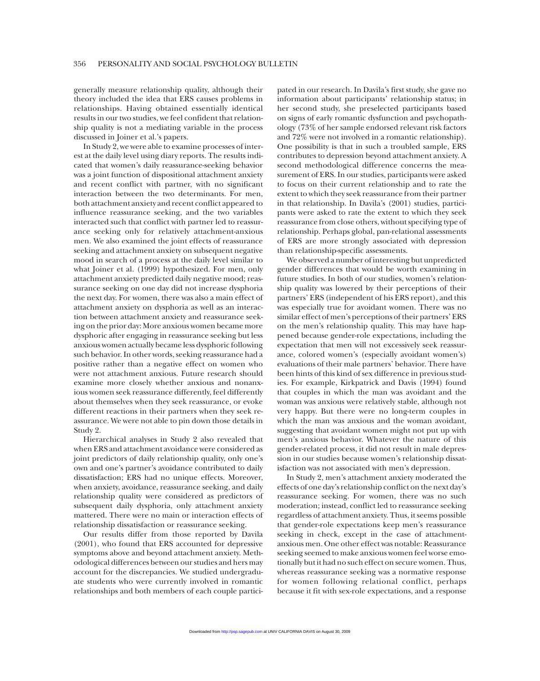generally measure relationship quality, although their theory included the idea that ERS causes problems in relationships. Having obtained essentially identical results in our two studies, we feel confident that relationship quality is not a mediating variable in the process discussed in Joiner et al.'s papers.

In Study 2, we were able to examine processes of interest at the daily level using diary reports. The results indicated that women's daily reassurance-seeking behavior was a joint function of dispositional attachment anxiety and recent conflict with partner, with no significant interaction between the two determinants. For men, both attachment anxiety and recent conflict appeared to influence reassurance seeking, and the two variables interacted such that conflict with partner led to reassurance seeking only for relatively attachment-anxious men. We also examined the joint effects of reassurance seeking and attachment anxiety on subsequent negative mood in search of a process at the daily level similar to what Joiner et al. (1999) hypothesized. For men, only attachment anxiety predicted daily negative mood; reassurance seeking on one day did not increase dysphoria the next day. For women, there was also a main effect of attachment anxiety on dysphoria as well as an interaction between attachment anxiety and reassurance seeking on the prior day: More anxious women became more dysphoric after engaging in reassurance seeking but less anxious women actually became less dysphoric following such behavior. In other words, seeking reassurance had a positive rather than a negative effect on women who were not attachment anxious. Future research should examine more closely whether anxious and nonanxious women seek reassurance differently, feel differently about themselves when they seek reassurance, or evoke different reactions in their partners when they seek reassurance. We were not able to pin down those details in Study 2.

Hierarchical analyses in Study 2 also revealed that when ERS and attachment avoidance were considered as joint predictors of daily relationship quality, only one's own and one's partner's avoidance contributed to daily dissatisfaction; ERS had no unique effects. Moreover, when anxiety, avoidance, reassurance seeking, and daily relationship quality were considered as predictors of subsequent daily dysphoria, only attachment anxiety mattered. There were no main or interaction effects of relationship dissatisfaction or reassurance seeking.

Our results differ from those reported by Davila (2001), who found that ERS accounted for depressive symptoms above and beyond attachment anxiety. Methodological differences between our studies and hers may account for the discrepancies. We studied undergraduate students who were currently involved in romantic relationships and both members of each couple participated in our research. In Davila's first study, she gave no information about participants' relationship status; in her second study, she preselected participants based on signs of early romantic dysfunction and psychopathology (73% of her sample endorsed relevant risk factors and 72% were not involved in a romantic relationship). One possibility is that in such a troubled sample, ERS contributes to depression beyond attachment anxiety. A second methodological difference concerns the measurement of ERS. In our studies, participants were asked to focus on their current relationship and to rate the extent to which they seek reassurance from their partner in that relationship. In Davila's (2001) studies, participants were asked to rate the extent to which they seek reassurance from close others, without specifying type of relationship. Perhaps global, pan-relational assessments of ERS are more strongly associated with depression than relationship-specific assessments.

We observed a number of interesting but unpredicted gender differences that would be worth examining in future studies. In both of our studies, women's relationship quality was lowered by their perceptions of their partners' ERS (independent of his ERS report), and this was especially true for avoidant women. There was no similar effect of men's perceptions of their partners' ERS on the men's relationship quality. This may have happened because gender-role expectations, including the expectation that men will not excessively seek reassurance, colored women's (especially avoidant women's) evaluations of their male partners' behavior. There have been hints of this kind of sex difference in previous studies. For example, Kirkpatrick and Davis (1994) found that couples in which the man was avoidant and the woman was anxious were relatively stable, although not very happy. But there were no long-term couples in which the man was anxious and the woman avoidant, suggesting that avoidant women might not put up with men's anxious behavior. Whatever the nature of this gender-related process, it did not result in male depression in our studies because women's relationship dissatisfaction was not associated with men's depression.

In Study 2, men's attachment anxiety moderated the effects of one day's relationship conflict on the next day's reassurance seeking. For women, there was no such moderation; instead, conflict led to reassurance seeking regardless of attachment anxiety. Thus, it seems possible that gender-role expectations keep men's reassurance seeking in check, except in the case of attachmentanxious men. One other effect was notable: Reassurance seeking seemed to make anxious women feel worse emotionally but it had no such effect on secure women. Thus, whereas reassurance seeking was a normative response for women following relational conflict, perhaps because it fit with sex-role expectations, and a response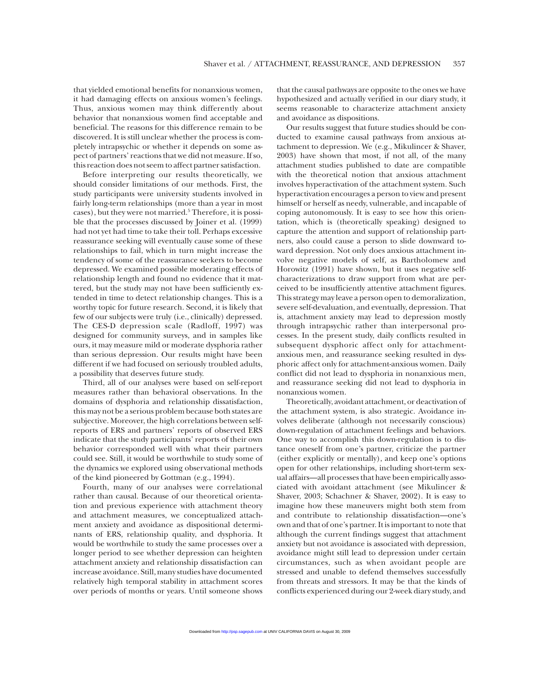that yielded emotional benefits for nonanxious women, it had damaging effects on anxious women's feelings. Thus, anxious women may think differently about behavior that nonanxious women find acceptable and beneficial. The reasons for this difference remain to be discovered. It is still unclear whether the process is completely intrapsychic or whether it depends on some aspect of partners' reactions that we did not measure. If so, this reaction does not seem to affect partner satisfaction.

Before interpreting our results theoretically, we should consider limitations of our methods. First, the study participants were university students involved in fairly long-term relationships (more than a year in most cases), but they were not married.<sup>5</sup> Therefore, it is possible that the processes discussed by Joiner et al. (1999) had not yet had time to take their toll. Perhaps excessive reassurance seeking will eventually cause some of these relationships to fail, which in turn might increase the tendency of some of the reassurance seekers to become depressed. We examined possible moderating effects of relationship length and found no evidence that it mattered, but the study may not have been sufficiently extended in time to detect relationship changes. This is a worthy topic for future research. Second, it is likely that few of our subjects were truly (i.e., clinically) depressed. The CES-D depression scale (Radloff, 1997) was designed for community surveys, and in samples like ours, it may measure mild or moderate dysphoria rather than serious depression. Our results might have been different if we had focused on seriously troubled adults, a possibility that deserves future study.

Third, all of our analyses were based on self-report measures rather than behavioral observations. In the domains of dysphoria and relationship dissatisfaction, this may not be a serious problem because both states are subjective. Moreover, the high correlations between selfreports of ERS and partners' reports of observed ERS indicate that the study participants' reports of their own behavior corresponded well with what their partners could see. Still, it would be worthwhile to study some of the dynamics we explored using observational methods of the kind pioneered by Gottman (e.g., 1994).

Fourth, many of our analyses were correlational rather than causal. Because of our theoretical orientation and previous experience with attachment theory and attachment measures, we conceptualized attachment anxiety and avoidance as dispositional determinants of ERS, relationship quality, and dysphoria. It would be worthwhile to study the same processes over a longer period to see whether depression can heighten attachment anxiety and relationship dissatisfaction can increase avoidance. Still, many studies have documented relatively high temporal stability in attachment scores over periods of months or years. Until someone shows that the causal pathways are opposite to the ones we have hypothesized and actually verified in our diary study, it seems reasonable to characterize attachment anxiety and avoidance as dispositions.

Our results suggest that future studies should be conducted to examine causal pathways from anxious attachment to depression. We (e.g., Mikulincer & Shaver, 2003) have shown that most, if not all, of the many attachment studies published to date are compatible with the theoretical notion that anxious attachment involves hyperactivation of the attachment system. Such hyperactivation encourages a person to view and present himself or herself as needy, vulnerable, and incapable of coping autonomously. It is easy to see how this orientation, which is (theoretically speaking) designed to capture the attention and support of relationship partners, also could cause a person to slide downward toward depression. Not only does anxious attachment involve negative models of self, as Bartholomew and Horowitz (1991) have shown, but it uses negative selfcharacterizations to draw support from what are perceived to be insufficiently attentive attachment figures. This strategy may leave a person open to demoralization, severe self-devaluation, and eventually, depression. That is, attachment anxiety may lead to depression mostly through intrapsychic rather than interpersonal processes. In the present study, daily conflicts resulted in subsequent dysphoric affect only for attachmentanxious men, and reassurance seeking resulted in dysphoric affect only for attachment-anxious women. Daily conflict did not lead to dysphoria in nonanxious men, and reassurance seeking did not lead to dysphoria in nonanxious women.

Theoretically, avoidant attachment, or deactivation of the attachment system, is also strategic. Avoidance involves deliberate (although not necessarily conscious) down-regulation of attachment feelings and behaviors. One way to accomplish this down-regulation is to distance oneself from one's partner, criticize the partner (either explicitly or mentally), and keep one's options open for other relationships, including short-term sexual affairs—all processes that have been empirically associated with avoidant attachment (see Mikulincer & Shaver, 2003; Schachner & Shaver, 2002). It is easy to imagine how these maneuvers might both stem from and contribute to relationship dissatisfaction—one's own and that of one's partner. It is important to note that although the current findings suggest that attachment anxiety but not avoidance is associated with depression, avoidance might still lead to depression under certain circumstances, such as when avoidant people are stressed and unable to defend themselves successfully from threats and stressors. It may be that the kinds of conflicts experienced during our 2-week diary study, and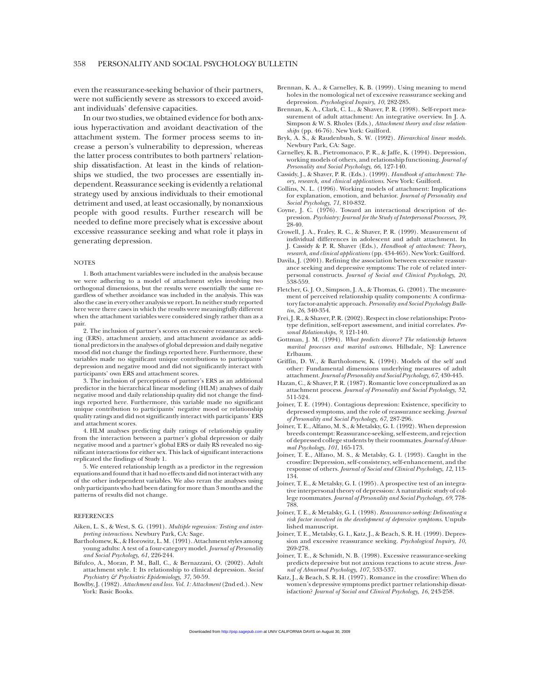even the reassurance-seeking behavior of their partners, were not sufficiently severe as stressors to exceed avoidant individuals' defensive capacities.

In our two studies, we obtained evidence for both anxious hyperactivation and avoidant deactivation of the attachment system. The former process seems to increase a person's vulnerability to depression, whereas the latter process contributes to both partners' relationship dissatisfaction. At least in the kinds of relationships we studied, the two processes are essentially independent. Reassurance seeking is evidently a relational strategy used by anxious individuals to their emotional detriment and used, at least occasionally, by nonanxious people with good results. Further research will be needed to define more precisely what is excessive about excessive reassurance seeking and what role it plays in generating depression.

#### **NOTES**

1. Both attachment variables were included in the analysis because we were adhering to a model of attachment styles involving two orthogonal dimensions, but the results were essentially the same regardless of whether avoidance was included in the analysis. This was also the case in every other analysis we report. In neither study reported here were there cases in which the results were meaningfully different when the attachment variables were considered singly rather than as a pair.

2. The inclusion of partner's scores on excessive reassurance seeking (ERS), attachment anxiety, and attachment avoidance as additional predictors in the analyses of global depression and daily negative mood did not change the findings reported here. Furthermore, these variables made no significant unique contributions to participants' depression and negative mood and did not significantly interact with participants' own ERS and attachment scores.

3. The inclusion of perceptions of partner's ERS as an additional predictor in the hierarchical linear modeling (HLM) analyses of daily negative mood and daily relationship quality did not change the findings reported here. Furthermore, this variable made no significant unique contribution to participants' negative mood or relationship quality ratings and did not significantly interact with participants' ERS and attachment scores.

4. HLM analyses predicting daily ratings of relationship quality from the interaction between a partner's global depression or daily negative mood and a partner's global ERS or daily RS revealed no significant interactions for either sex. This lack of significant interactions replicated the findings of Study 1.

5. We entered relationship length as a predictor in the regression equations and found that it had no effects and did not interact with any of the other independent variables. We also reran the analyses using only participants who had been dating for more than 3 months and the patterns of results did not change.

#### **REFERENCES**

- Aiken, L. S., & West, S. G. (1991). *Multiple regression: Testing and interpreting interactions*. Newbury Park, CA: Sage.
- Bartholomew, K., & Horowitz, L. M. (1991). Attachment styles among young adults: A test of a four-category model. *Journal of Personality and Social Psychology*, *61*, 226-244.
- Bifulco, A., Moran, P. M., Ball, C., & Bernazzani, O. (2002). Adult attachment style. I: Its relationship to clinical depression. *Social Psychiatry & Psychiatric Epidemiology*, *37*, 50-59.
- Bowlby, J. (1982). *Attachment and loss. Vol. 1: Attachment* (2nd ed.). New York: Basic Books.
- Brennan, K. A., & Carnelley, K. B. (1999). Using meaning to mend holes in the nomological net of excessive reassurance seeking and depression. *Psychological Inquiry*, *10*, 282-285.
- Brennan, K. A., Clark, C. L., & Shaver, P. R. (1998). Self-report measurement of adult attachment: An integrative overview. In J. A. Simpson & W. S. Rholes (Eds.), *Attachment theory and close relationships* (pp. 46-76). New York: Guilford.
- Bryk, A. S., & Raudenbush, S. W. (1992). *Hierarchical linear models*. Newbury Park, CA: Sage.
- Carnelley, K. B., Pietromonaco, P. R., & Jaffe, K. (1994). Depression, working models of others, and relationship functioning. *Journal of Personality and Social Psychology*, *66*, 127-140.
- Cassidy, J., & Shaver, P. R. (Eds.). (1999). *Handbook of attachment: Theory, research, and clinical applications*. New York: Guilford.
- Collins, N. L. (1996). Working models of attachment: Implications for explanation, emotion, and behavior. *Journal of Personality and Social Psychology*, *71*, 810-832.
- Coyne, J. C. (1976). Toward an interactional description of depression. *Psychiatry: Journal for the Study of Interpersonal Processes*, *39*, 28-40.
- Crowell, J. A., Fraley, R. C., & Shaver, P. R. (1999). Measurement of individual differences in adolescent and adult attachment. In J. Cassidy & P. R. Shaver (Eds.), *Handbook of attachment: Theory, research, and clinical applications* (pp. 434-465). New York: Guilford.
- Davila, J. (2001). Refining the association between excessive reassurance seeking and depressive symptoms: The role of related interpersonal constructs. *Journal of Social and Clinical Psychology*, *20*, 538-559.
- Fletcher, G. J. O., Simpson, J. A., & Thomas, G. (2001). The measurement of perceived relationship quality components: A confirmatory factor-analytic approach. *Personality and Social Psychology Bulletin*, *26*, 340-354.
- Frei, J. R., & Shaver, P. R. (2002). Respect in close relationships: Prototype definition, self-report assessment, and initial correlates. *Personal Relationships*, *9*, 121-140.
- Gottman, J. M. (1994). *What predicts divorce? The relationship between marital processes and marital outcomes*. Hillsdale, NJ: Lawrence Erlbaum.
- Griffin, D. W., & Bartholomew, K. (1994). Models of the self and other: Fundamental dimensions underlying measures of adult attachment. *Journal of Personality and Social Psychology*, *67*, 430-445.
- Hazan, C., & Shaver, P. R. (1987). Romantic love conceptualized as an attachment process. *Journal of Personality and Social Psychology*, *52*, 511-524.
- Joiner, T. E. (1994). Contagious depression: Existence, specificity to depressed symptoms, and the role of reassurance seeking. *Journal of Personality and Social Psychology*, *67*, 287-296.
- Joiner, T. E., Alfano, M. S., & Metalsky, G. I. (1992). When depression breeds contempt: Reassurance-seeking, self-esteem, and rejection of depressed college students by their roommates. *Journal of Abnormal Psychology*, *101*, 165-173.
- Joiner, T. E., Alfano, M. S., & Metalsky, G. I. (1993). Caught in the crossfire: Depression, self-consistency, self-enhancement, and the response of others. *Journal of Social and Clinical Psychology*, *12*, 113- 134.
- Joiner, T. E., & Metalsky, G. I. (1995). A prospective test of an integrative interpersonal theory of depression: A naturalistic study of college roommates. *Journal of Personality and Social Psychology*, *69*, 778- 788.
- Joiner, T. E., & Metalsky, G. I. (1998). *Reassurance-seeking: Delineating a risk factor involved in the development of depressive symptoms*. Unpublished manuscript.
- Joiner, T. E., Metalsky, G. I., Katz, J., & Beach, S. R. H. (1999). Depression and excessive reassurance seeking. *Psychological Inquiry*, *10*, 269-278.
- Joiner, T. E., & Schmidt, N. B. (1998). Excessive reassurance-seeking predicts depressive but not anxious reactions to acute stress. *Journal of Abnormal Psychology*, *107*, 533-537.
- Katz, J., & Beach, S. R. H. (1997). Romance in the crossfire: When do women's depressive symptoms predict partner relationship dissatisfaction? *Journal of Social and Clinical Psychology*, *16*, 243-258.